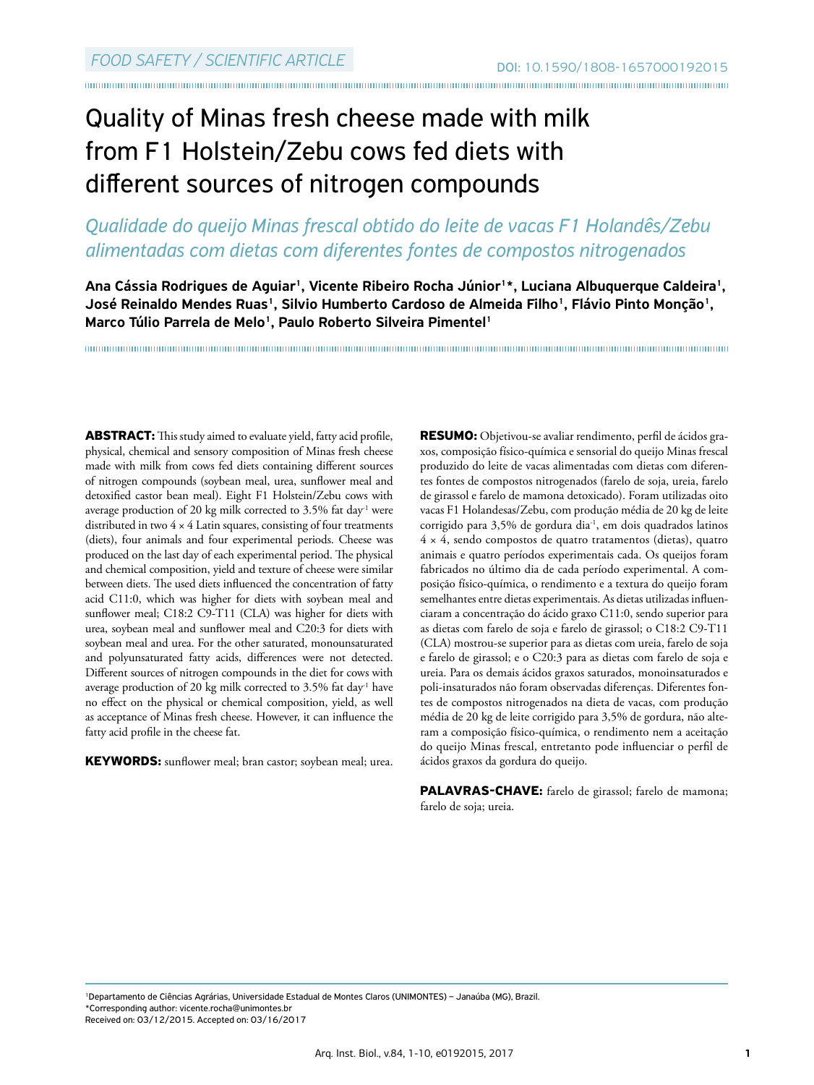# Quality of Minas fresh cheese made with milk from F1 Holstein/Zebu cows fed diets with different sources of nitrogen compounds

# *Qualidade do queijo Minas frescal obtido do leite de vacas F1 Holandês/Zebu alimentadas com dietas com diferentes fontes de compostos nitrogenados*

Ana Cássia Rodrigues de Aguiar<sup>1</sup>, Vicente Ribeiro Rocha Júnior<sup>1\*</sup>, Luciana Albuquerque Caldeira<sup>1</sup>, José Reinaldo Mendes Ruas<sup>1</sup>, Silvio Humberto Cardoso de Almeida Filho<sup>1</sup>, Flávio Pinto Monção<sup>1</sup>, Marco Túlio Parrela de Melo<sup>1</sup>, Paulo Roberto Silveira Pimentel<sup>1</sup>

**ABSTRACT:** This study aimed to evaluate yield, fatty acid profile, physical, chemical and sensory composition of Minas fresh cheese made with milk from cows fed diets containing different sources of nitrogen compounds (soybean meal, urea, sunflower meal and detoxified castor bean meal). Eight F1 Holstein/Zebu cows with average production of 20 kg milk corrected to 3.5% fat day<sup>-1</sup> were distributed in two  $4 \times 4$  Latin squares, consisting of four treatments (diets), four animals and four experimental periods. Cheese was produced on the last day of each experimental period. The physical and chemical composition, yield and texture of cheese were similar between diets. The used diets influenced the concentration of fatty acid C11:0, which was higher for diets with soybean meal and sunflower meal; C18:2 C9-T11 (CLA) was higher for diets with urea, soybean meal and sunflower meal and C20:3 for diets with soybean meal and urea. For the other saturated, monounsaturated and polyunsaturated fatty acids, differences were not detected. Different sources of nitrogen compounds in the diet for cows with average production of 20 kg milk corrected to 3.5% fat day<sup>-1</sup> have no effect on the physical or chemical composition, yield, as well as acceptance of Minas fresh cheese. However, it can influence the fatty acid profile in the cheese fat.

**KEYWORDS:** sunflower meal; bran castor; soybean meal; urea.

**RESUMO:** Objetivou-se avaliar rendimento, perfil de ácidos graxos, composição físico-química e sensorial do queijo Minas frescal produzido do leite de vacas alimentadas com dietas com diferentes fontes de compostos nitrogenados (farelo de soja, ureia, farelo de girassol e farelo de mamona detoxicado). Foram utilizadas oito vacas F1 Holandesas/Zebu, com produção média de 20 kg de leite corrigido para 3,5% de gordura dia-1 , em dois quadrados latinos 4 × 4, sendo compostos de quatro tratamentos (dietas), quatro animais e quatro períodos experimentais cada. Os queijos foram fabricados no último dia de cada período experimental. A composição físico-química, o rendimento e a textura do queijo foram semelhantes entre dietas experimentais. As dietas utilizadas influenciaram a concentração do ácido graxo C11:0, sendo superior para as dietas com farelo de soja e farelo de girassol; o C18:2 C9-T11 (CLA) mostrou-se superior para as dietas com ureia, farelo de soja e farelo de girassol; e o C20:3 para as dietas com farelo de soja e ureia. Para os demais ácidos graxos saturados, monoinsaturados e poli-insaturados não foram observadas diferenças. Diferentes fontes de compostos nitrogenados na dieta de vacas, com produção média de 20 kg de leite corrigido para 3,5% de gordura, não alteram a composição físico-química, o rendimento nem a aceitação do queijo Minas frescal, entretanto pode influenciar o perfil de ácidos graxos da gordura do queijo.

**PALAVRAS-CHAVE:** farelo de girassol; farelo de mamona; farelo de soja; ureia.

<sup>1</sup>Departamento de Ciências Agrárias, Universidade Estadual de Montes Claros (UNIMONTES) – Janaúba (MG), Brazil. \*Corresponding author: vicente.rocha@unimontes.br Received on: 03/12/2015. Accepted on: 03/16/2017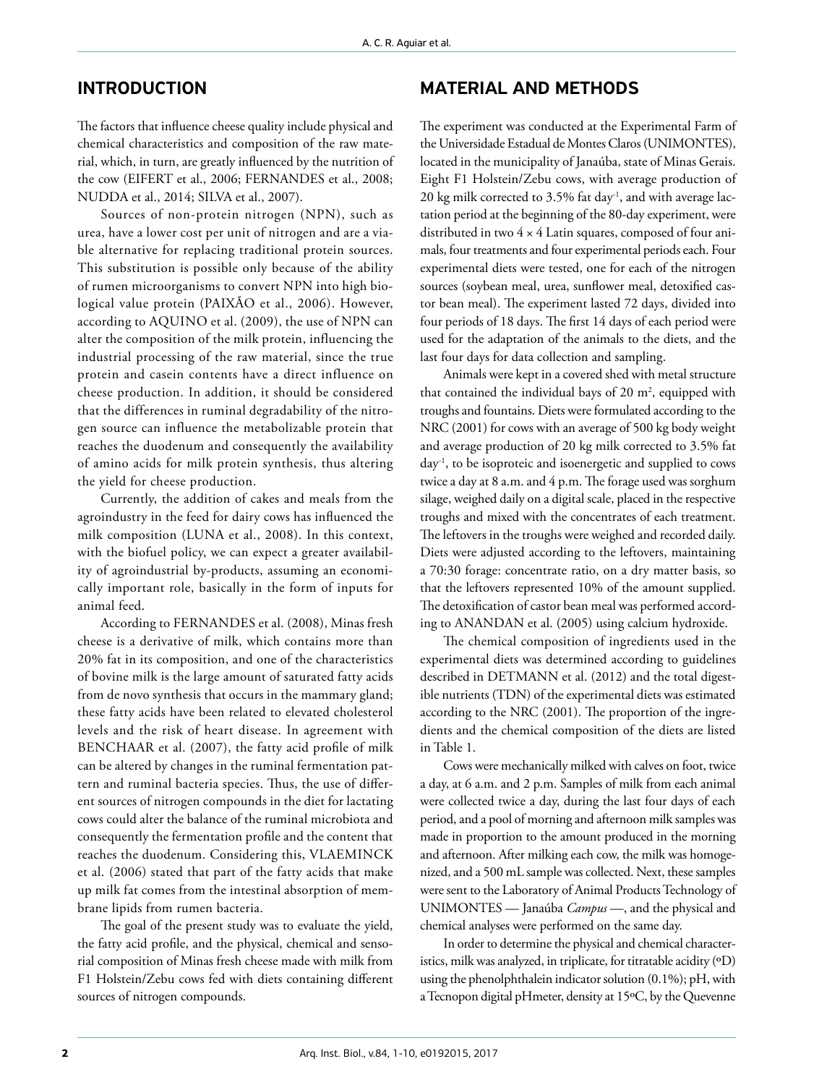## INTRODUCTION

The factors that influence cheese quality include physical and chemical characteristics and composition of the raw material, which, in turn, are greatly influenced by the nutrition of the cow (EIFERT et al., 2006; FERNANDES et al., 2008; NUDDA et al., 2014; SILVA et al., 2007).

Sources of non-protein nitrogen (NPN), such as urea, have a lower cost per unit of nitrogen and are a viable alternative for replacing traditional protein sources. This substitution is possible only because of the ability of rumen microorganisms to convert NPN into high biological value protein (PAIXÃO et al., 2006). However, according to AQUINO et al. (2009), the use of NPN can alter the composition of the milk protein, influencing the industrial processing of the raw material, since the true protein and casein contents have a direct influence on cheese production. In addition, it should be considered that the differences in ruminal degradability of the nitrogen source can influence the metabolizable protein that reaches the duodenum and consequently the availability of amino acids for milk protein synthesis, thus altering the yield for cheese production.

Currently, the addition of cakes and meals from the agroindustry in the feed for dairy cows has influenced the milk composition (LUNA et al., 2008). In this context, with the biofuel policy, we can expect a greater availability of agroindustrial by-products, assuming an economically important role, basically in the form of inputs for animal feed.

According to FERNANDES et al. (2008), Minas fresh cheese is a derivative of milk, which contains more than 20% fat in its composition, and one of the characteristics of bovine milk is the large amount of saturated fatty acids from de novo synthesis that occurs in the mammary gland; these fatty acids have been related to elevated cholesterol levels and the risk of heart disease. In agreement with BENCHAAR et al. (2007), the fatty acid profile of milk can be altered by changes in the ruminal fermentation pattern and ruminal bacteria species. Thus, the use of different sources of nitrogen compounds in the diet for lactating cows could alter the balance of the ruminal microbiota and consequently the fermentation profile and the content that reaches the duodenum. Considering this, VLAEMINCK et al. (2006) stated that part of the fatty acids that make up milk fat comes from the intestinal absorption of membrane lipids from rumen bacteria.

The goal of the present study was to evaluate the yield, the fatty acid profile, and the physical, chemical and sensorial composition of Minas fresh cheese made with milk from F1 Holstein/Zebu cows fed with diets containing different sources of nitrogen compounds.

# MATERIAL AND METHODS

The experiment was conducted at the Experimental Farm of the Universidade Estadual de Montes Claros (UNIMONTES), located in the municipality of Janaúba, state of Minas Gerais. Eight F1 Holstein/Zebu cows, with average production of 20  $kg$  milk corrected to 3.5% fat day<sup>-1</sup>, and with average lactation period at the beginning of the 80-day experiment, were distributed in two 4 × 4 Latin squares, composed of four animals, four treatments and four experimental periods each. Four experimental diets were tested, one for each of the nitrogen sources (soybean meal, urea, sunflower meal, detoxified castor bean meal). The experiment lasted 72 days, divided into four periods of 18 days. The first 14 days of each period were used for the adaptation of the animals to the diets, and the last four days for data collection and sampling.

Animals were kept in a covered shed with metal structure that contained the individual bays of 20  $m^2$ , equipped with troughs and fountains. Diets were formulated according to the NRC (2001) for cows with an average of 500 kg body weight and average production of 20 kg milk corrected to 3.5% fat day-1 , to be isoproteic and isoenergetic and supplied to cows twice a day at 8 a.m. and 4 p.m. The forage used was sorghum silage, weighed daily on a digital scale, placed in the respective troughs and mixed with the concentrates of each treatment. The leftovers in the troughs were weighed and recorded daily. Diets were adjusted according to the leftovers, maintaining a 70:30 forage: concentrate ratio, on a dry matter basis, so that the leftovers represented 10% of the amount supplied. The detoxification of castor bean meal was performed according to ANANDAN et al. (2005) using calcium hydroxide.

The chemical composition of ingredients used in the experimental diets was determined according to guidelines described in DETMANN et al. (2012) and the total digestible nutrients (TDN) of the experimental diets was estimated according to the NRC (2001). The proportion of the ingredients and the chemical composition of the diets are listed in Table 1.

Cows were mechanically milked with calves on foot, twice a day, at 6 a.m. and 2 p.m. Samples of milk from each animal were collected twice a day, during the last four days of each period, and a pool of morning and afternoon milk samples was made in proportion to the amount produced in the morning and afternoon. After milking each cow, the milk was homogenized, and a 500 mL sample was collected. Next, these samples were sent to the Laboratory of Animal Products Technology of UNIMONTES — Janaúba *Campus* —, and the physical and chemical analyses were performed on the same day.

In order to determine the physical and chemical characteristics, milk was analyzed, in triplicate, for titratable acidity  $({}^{\circ}D)$ using the phenolphthalein indicator solution (0.1%); pH, with a Tecnopon digital pHmeter, density at 15ºC, by the Quevenne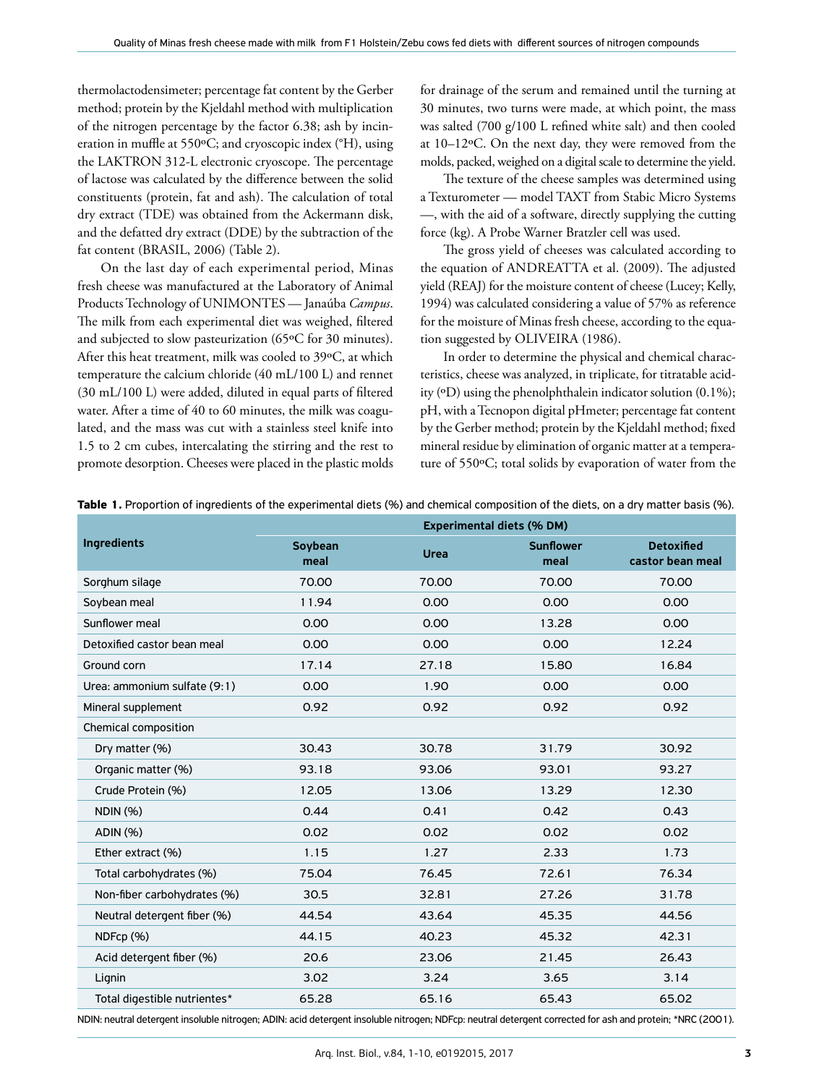thermolactodensimeter; percentage fat content by the Gerber method; protein by the Kjeldahl method with multiplication of the nitrogen percentage by the factor 6.38; ash by incineration in muffle at 550ºC; and cryoscopic index (°H), using the LAKTRON 312-L electronic cryoscope. The percentage of lactose was calculated by the difference between the solid constituents (protein, fat and ash). The calculation of total dry extract (TDE) was obtained from the Ackermann disk, and the defatted dry extract (DDE) by the subtraction of the fat content (BRASIL, 2006) (Table 2).

On the last day of each experimental period, Minas fresh cheese was manufactured at the Laboratory of Animal Products Technology of UNIMONTES — Janaúba *Campus*. The milk from each experimental diet was weighed, filtered and subjected to slow pasteurization (65ºC for 30 minutes). After this heat treatment, milk was cooled to 39ºC, at which temperature the calcium chloride (40 mL/100 L) and rennet (30 mL/100 L) were added, diluted in equal parts of filtered water. After a time of 40 to 60 minutes, the milk was coagulated, and the mass was cut with a stainless steel knife into 1.5 to 2 cm cubes, intercalating the stirring and the rest to promote desorption. Cheeses were placed in the plastic molds for drainage of the serum and remained until the turning at 30 minutes, two turns were made, at which point, the mass was salted (700 g/100 L refined white salt) and then cooled at 10–12ºC. On the next day, they were removed from the molds, packed, weighed on a digital scale to determine the yield.

The texture of the cheese samples was determined using a Texturometer — model TAXT from Stabic Micro Systems —, with the aid of a software, directly supplying the cutting force (kg). A Probe Warner Bratzler cell was used.

The gross yield of cheeses was calculated according to the equation of ANDREATTA et al. (2009). The adjusted yield (REAJ) for the moisture content of cheese (Lucey; Kelly, 1994) was calculated considering a value of 57% as reference for the moisture of Minas fresh cheese, according to the equation suggested by OLIVEIRA (1986).

In order to determine the physical and chemical characteristics, cheese was analyzed, in triplicate, for titratable acidity (ºD) using the phenolphthalein indicator solution (0.1%); pH, with a Tecnopon digital pHmeter; percentage fat content by the Gerber method; protein by the Kjeldahl method; fixed mineral residue by elimination of organic matter at a temperature of 550ºC; total solids by evaporation of water from the

|                              | <b>Experimental diets (% DM)</b> |             |                          |                                       |  |  |
|------------------------------|----------------------------------|-------------|--------------------------|---------------------------------------|--|--|
| <b>Ingredients</b>           | Soybean<br>meal                  | <b>Urea</b> | <b>Sunflower</b><br>meal | <b>Detoxified</b><br>castor bean meal |  |  |
| Sorghum silage               | 70.00                            | 70.00       | 70.00                    | 70.00                                 |  |  |
| Soybean meal                 | 11.94                            | 0.00        | 0.00                     | 0.00                                  |  |  |
| Sunflower meal               | 0.00                             | 0.00        | 13.28                    | 0.00                                  |  |  |
| Detoxified castor bean meal  | 0.00                             | 0.00        | 0.00                     | 12.24                                 |  |  |
| Ground corn                  | 17.14                            | 27.18       | 15.80                    | 16.84                                 |  |  |
| Urea: ammonium sulfate (9:1) | 0.00                             | 1.90        | 0.00                     | 0.00                                  |  |  |
| Mineral supplement           | 0.92                             | 0.92        | 0.92                     | 0.92                                  |  |  |
| Chemical composition         |                                  |             |                          |                                       |  |  |
| Dry matter (%)               | 30.43                            | 30.78       | 31.79                    | 30.92                                 |  |  |
| Organic matter (%)           | 93.18                            | 93.06       | 93.01                    | 93.27                                 |  |  |
| Crude Protein (%)            | 12.05                            | 13.06       | 13.29                    | 12.30                                 |  |  |
| <b>NDIN (%)</b>              | 0.44                             | 0.41        | 0.42                     | 0.43                                  |  |  |
| ADIN (%)                     | 0.02                             | 0.02        | 0.02                     | 0.02                                  |  |  |
| Ether extract (%)            | 1.15                             | 1.27        | 2.33                     | 1.73                                  |  |  |
| Total carbohydrates (%)      | 75.04                            | 76.45       | 72.61                    | 76.34                                 |  |  |
| Non-fiber carbohydrates (%)  | 30.5                             | 32.81       | 27.26                    | 31.78                                 |  |  |

**Table 1.** Proportion of ingredients of the experimental diets (%) and chemical composition of the diets, on a dry matter basis (%).

NDIN: neutral detergent insoluble nitrogen; ADIN: acid detergent insoluble nitrogen; NDFcp: neutral detergent corrected for ash and protein; \*NRC (2001).

Neutral detergent fiber (%)  $44.54$   $43.64$   $45.35$   $44.56$ NDFcp (%) 44.15 40.23 45.32 42.31 Acid detergent fiber (%) 20.6 23.06 21.45 26.43 Lignin 3.02 3.24 3.65 3.14 Total digestible nutrientes\* 65.28 65.16 65.43 65.02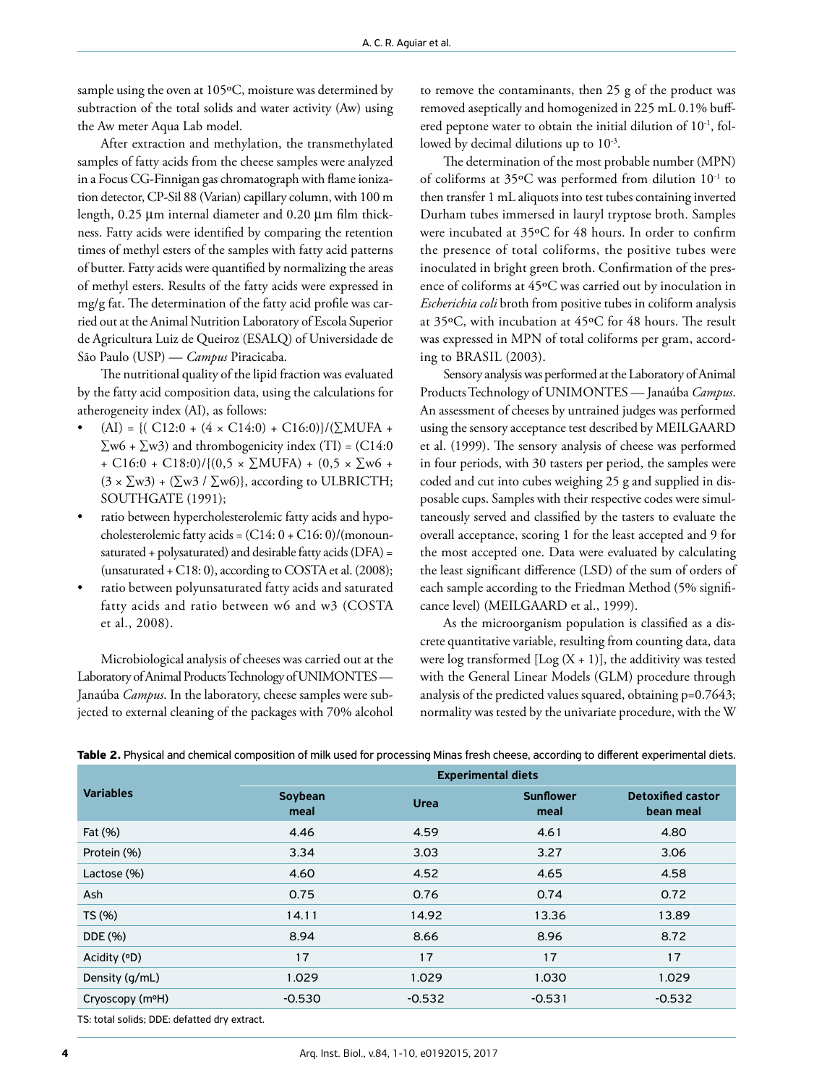sample using the oven at 105°C, moisture was determined by subtraction of the total solids and water activity (Aw) using the Aw meter Aqua Lab model.

After extraction and methylation, the transmethylated samples of fatty acids from the cheese samples were analyzed in a Focus CG-Finnigan gas chromatograph with flame ionization detector, CP-Sil 88 (Varian) capillary column, with 100 m length, 0.25 μm internal diameter and 0.20 μm film thickness. Fatty acids were identified by comparing the retention times of methyl esters of the samples with fatty acid patterns of butter. Fatty acids were quantified by normalizing the areas of methyl esters. Results of the fatty acids were expressed in mg/g fat. The determination of the fatty acid profile was carried out at the Animal Nutrition Laboratory of Escola Superior de Agricultura Luiz de Queiroz (ESALQ) of Universidade de São Paulo (USP) — *Campus* Piracicaba.

The nutritional quality of the lipid fraction was evaluated by the fatty acid composition data, using the calculations for atherogeneity index (AI), as follows:

- $(AI) = \{ (C12:0 + (4 \times C14:0) + C16:0) \}/(\Sigma MUFA +$  $\Sigma$ w6 +  $\Sigma$ w3) and thrombogenicity index (TI) = (C14:0 + C16:0 + C18:0)/{ $(0.5 \times \Sigma MUFA)$  +  $(0.5 \times \Sigma w6$  +  $(3 \times \sum w3) + (\sum w3 / \sum w6)$ , according to ULBRICTH; SOUTHGATE (1991);
- ratio between hypercholesterolemic fatty acids and hypocholesterolemic fatty acids =  $(C14: 0 + C16: 0)/$ (monounsaturated + polysaturated) and desirable fatty acids (DFA) = (unsaturated + C18: 0), according to COSTA et al. (2008);
- ratio between polyunsaturated fatty acids and saturated fatty acids and ratio between w6 and w3 (COSTA et al., 2008).

Microbiological analysis of cheeses was carried out at the Laboratory of Animal Products Technology of UNIMONTES — Janaúba *Campus*. In the laboratory, cheese samples were subjected to external cleaning of the packages with 70% alcohol to remove the contaminants, then 25 g of the product was removed aseptically and homogenized in 225 mL 0.1% buffered peptone water to obtain the initial dilution of 10<sup>-1</sup>, followed by decimal dilutions up to  $10^{-3}$ .

The determination of the most probable number (MPN) of coliforms at 35ºC was performed from dilution 10-1 to then transfer 1 mL aliquots into test tubes containing inverted Durham tubes immersed in lauryl tryptose broth. Samples were incubated at 35ºC for 48 hours. In order to confirm the presence of total coliforms, the positive tubes were inoculated in bright green broth. Confirmation of the presence of coliforms at 45ºC was carried out by inoculation in *Escherichia coli* broth from positive tubes in coliform analysis at 35ºC, with incubation at 45ºC for 48 hours. The result was expressed in MPN of total coliforms per gram, according to BRASIL (2003).

Sensory analysis was performed at the Laboratory of Animal Products Technology of UNIMONTES — Janaúba *Campus*. An assessment of cheeses by untrained judges was performed using the sensory acceptance test described by MEILGAARD et al. (1999). The sensory analysis of cheese was performed in four periods, with 30 tasters per period, the samples were coded and cut into cubes weighing 25 g and supplied in disposable cups. Samples with their respective codes were simultaneously served and classified by the tasters to evaluate the overall acceptance, scoring 1 for the least accepted and 9 for the most accepted one. Data were evaluated by calculating the least significant difference (LSD) of the sum of orders of each sample according to the Friedman Method (5% significance level) (MEILGAARD et al., 1999).

As the microorganism population is classified as a discrete quantitative variable, resulting from counting data, data were log transformed  $[Log (X + 1)]$ , the additivity was tested with the General Linear Models (GLM) procedure through analysis of the predicted values squared, obtaining p=0.7643; normality was tested by the univariate procedure, with the W

|  | Table 2. Physical and chemical composition of milk used for processing Minas fresh cheese, according to different experimental diets |  |  |  |  |
|--|--------------------------------------------------------------------------------------------------------------------------------------|--|--|--|--|
|--|--------------------------------------------------------------------------------------------------------------------------------------|--|--|--|--|

|                              | <b>Experimental diets</b> |             |                          |                                       |  |  |  |
|------------------------------|---------------------------|-------------|--------------------------|---------------------------------------|--|--|--|
| <b>Variables</b>             | Soybean<br>meal           | <b>Urea</b> | <b>Sunflower</b><br>meal | <b>Detoxified castor</b><br>bean meal |  |  |  |
| Fat (%)                      | 4.46                      | 4.59        | 4.61                     | 4.80                                  |  |  |  |
| Protein (%)                  | 3.34                      | 3.03        | 3.27                     | 3.06                                  |  |  |  |
| Lactose (%)                  | 4.60                      | 4.52        | 4.65                     | 4.58                                  |  |  |  |
| Ash                          | 0.75                      | 0.76        | 0.74                     | 0.72                                  |  |  |  |
| TS (%)                       | 14.11                     | 14.92       | 13.36                    | 13.89                                 |  |  |  |
| DDE (%)                      | 8.94                      | 8.66        | 8.96                     | 8.72                                  |  |  |  |
| Acidity (°D)                 | 17                        | 17          | 17                       | 17                                    |  |  |  |
| Density (g/mL)               | 1.029                     | 1.029       | 1.030                    | 1.029                                 |  |  |  |
| Cryoscopy (m <sup>o</sup> H) | $-0.530$                  | $-0.532$    | $-0.531$                 | $-0.532$                              |  |  |  |
|                              |                           |             |                          |                                       |  |  |  |

TS: total solids; DDE: defatted dry extract.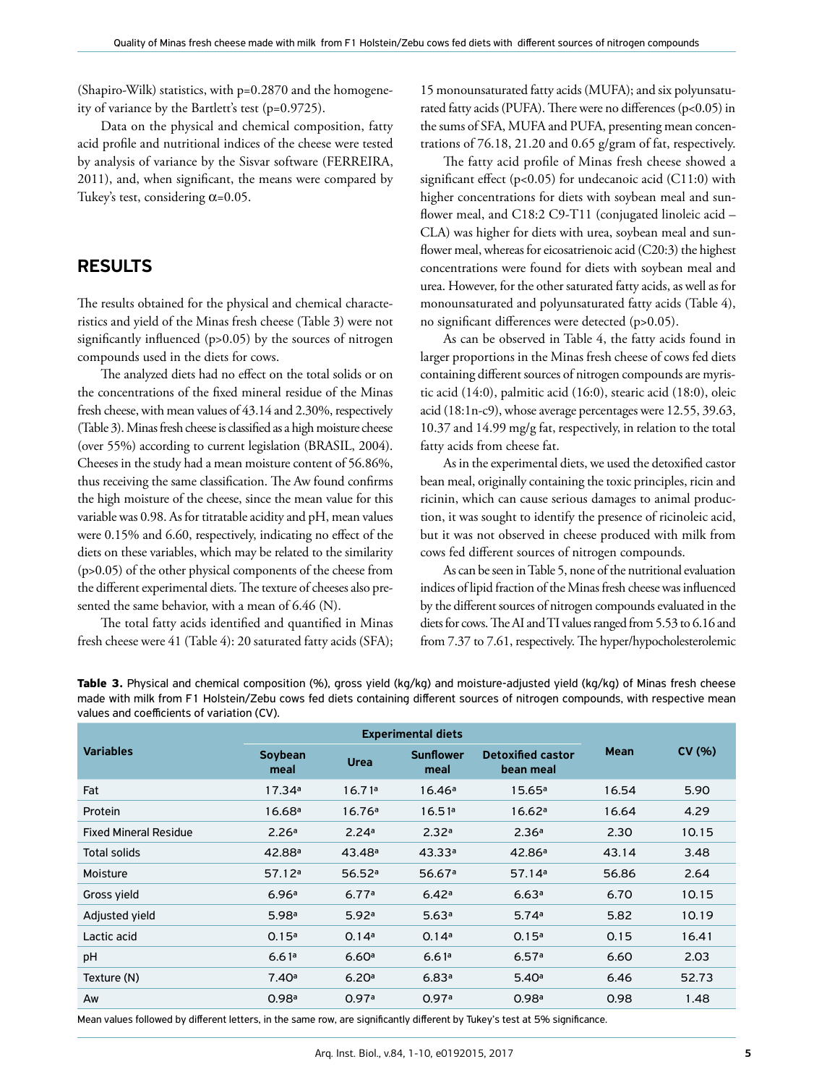(Shapiro-Wilk) statistics, with p=0.2870 and the homogeneity of variance by the Bartlett's test (p=0.9725).

Data on the physical and chemical composition, fatty acid profile and nutritional indices of the cheese were tested by analysis of variance by the Sisvar software (FERREIRA, 2011), and, when significant, the means were compared by Tukey's test, considering  $\alpha$ =0.05.

#### RESULTS

The results obtained for the physical and chemical characteristics and yield of the Minas fresh cheese (Table 3) were not significantly influenced (p>0.05) by the sources of nitrogen compounds used in the diets for cows.

The analyzed diets had no effect on the total solids or on the concentrations of the fixed mineral residue of the Minas fresh cheese, with mean values of 43.14 and 2.30%, respectively (Table 3). Minas fresh cheese is classified as a high moisture cheese (over 55%) according to current legislation (BRASIL, 2004). Cheeses in the study had a mean moisture content of 56.86%, thus receiving the same classification. The Aw found confirms the high moisture of the cheese, since the mean value for this variable was 0.98. As for titratable acidity and pH, mean values were 0.15% and 6.60, respectively, indicating no effect of the diets on these variables, which may be related to the similarity (p>0.05) of the other physical components of the cheese from the different experimental diets. The texture of cheeses also presented the same behavior, with a mean of 6.46 (N).

The total fatty acids identified and quantified in Minas fresh cheese were 41 (Table 4): 20 saturated fatty acids (SFA); 15 monounsaturated fatty acids (MUFA); and six polyunsaturated fatty acids (PUFA). There were no differences (p<0.05) in the sums of SFA, MUFA and PUFA, presenting mean concentrations of 76.18, 21.20 and 0.65 g/gram of fat, respectively.

The fatty acid profile of Minas fresh cheese showed a significant effect (p<0.05) for undecanoic acid (C11:0) with higher concentrations for diets with soybean meal and sunflower meal, and C18:2 C9-T11 (conjugated linoleic acid -CLA) was higher for diets with urea, soybean meal and sunflower meal, whereas for eicosatrienoic acid (C20:3) the highest concentrations were found for diets with soybean meal and urea. However, for the other saturated fatty acids, as well as for monounsaturated and polyunsaturated fatty acids (Table 4), no significant differences were detected (p>0.05).

As can be observed in Table 4, the fatty acids found in larger proportions in the Minas fresh cheese of cows fed diets containing different sources of nitrogen compounds are myristic acid (14:0), palmitic acid (16:0), stearic acid (18:0), oleic acid (18:1n-c9), whose average percentages were 12.55, 39.63, 10.37 and 14.99 mg/g fat, respectively, in relation to the total fatty acids from cheese fat.

As in the experimental diets, we used the detoxified castor bean meal, originally containing the toxic principles, ricin and ricinin, which can cause serious damages to animal production, it was sought to identify the presence of ricinoleic acid, but it was not observed in cheese produced with milk from cows fed different sources of nitrogen compounds.

As can be seen in Table 5, none of the nutritional evaluation indices of lipid fraction of the Minas fresh cheese was influenced by the different sources of nitrogen compounds evaluated in the diets for cows. The AI and TI values ranged from 5.53 to 6.16 and from 7.37 to 7.61, respectively. The hyper/hypocholesterolemic

|                              | <b>Experimental diets</b> |                    |                          |                                       |             |        |
|------------------------------|---------------------------|--------------------|--------------------------|---------------------------------------|-------------|--------|
| <b>Variables</b>             | Soybean<br>meal           | <b>Urea</b>        | <b>Sunflower</b><br>meal | <b>Detoxified castor</b><br>bean meal | <b>Mean</b> | CV (%) |
| Fat                          | 17.34a                    | 16.71a             | 16.46a                   | 15.65a                                | 16.54       | 5.90   |
| Protein                      | 16.68a                    | 16.76a             | 16.51a                   | 16.62a                                | 16.64       | 4.29   |
| <b>Fixed Mineral Residue</b> | 2.26a                     | 2.24a              | 2.32a                    | 2.36a                                 | 2.30        | 10.15  |
| <b>Total solids</b>          | 42.88 <sup>a</sup>        | 43.48 <sup>a</sup> | 43.33a                   | 42.86 <sup>a</sup>                    | 43.14       | 3.48   |
| Moisture                     | 57.12a                    | 56.52a             | 56.67a                   | 57.14a                                | 56.86       | 2.64   |
| Gross yield                  | 6.96a                     | 6.77a              | 6.42a                    | 6.63a                                 | 6.70        | 10.15  |
| Adjusted yield               | 5.98a                     | 5.92a              | 5.63a                    | 5.74a                                 | 5.82        | 10.19  |
| Lactic acid                  | 0.15a                     | 0.14a              | 0.14a                    | 0.15a                                 | 0.15        | 16.41  |
| pH                           | 6.61a                     | 6.60a              | 6.61a                    | 6.57a                                 | 6.60        | 2.03   |
| Texture (N)                  | 7.40a                     | 6.20a              | 6.83a                    | 5.40a                                 | 6.46        | 52.73  |
| Aw                           | 0.98 <sup>a</sup>         | 0.97a              | 0.97a                    | 0.98 <sup>a</sup>                     | 0.98        | 1.48   |

**Table 3.** Physical and chemical composition (%), gross yield (kg/kg) and moisture-adjusted yield (kg/kg) of Minas fresh cheese made with milk from F1 Holstein/Zebu cows fed diets containing different sources of nitrogen compounds, with respective mean values and coefficients of variation (CV).

Mean values followed by different letters, in the same row, are significantly different by Tukey's test at 5% significance.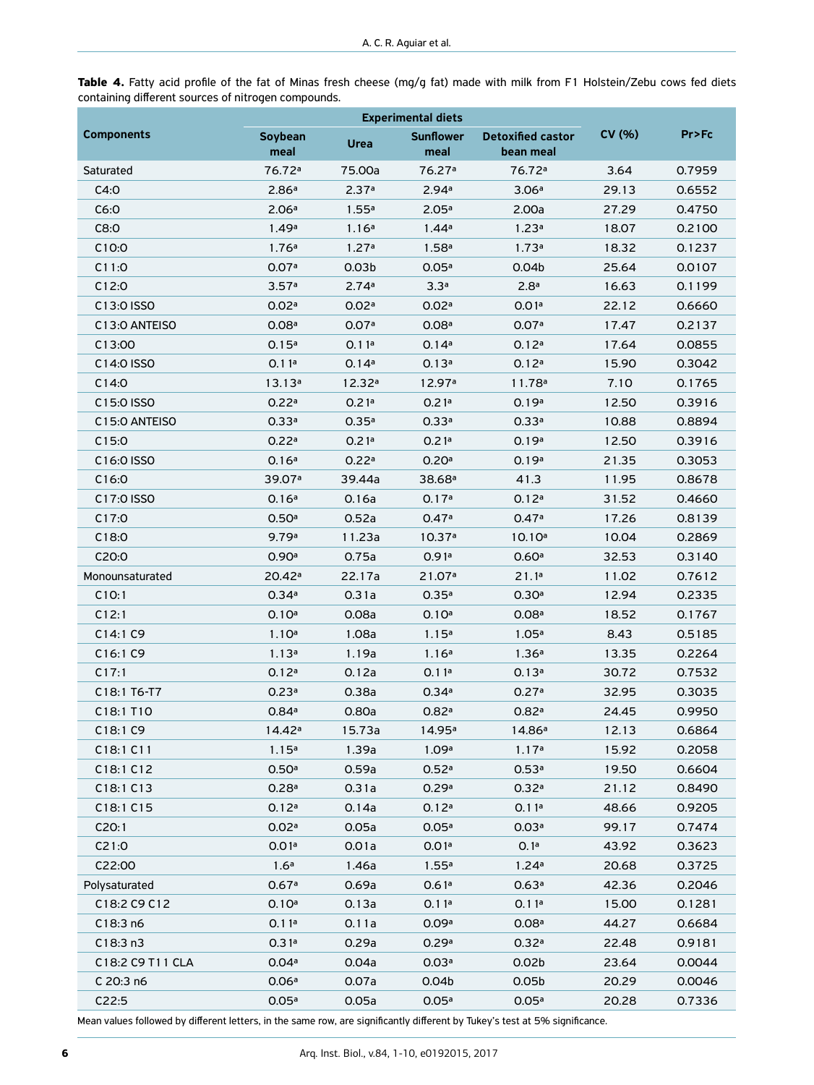**Table 4.** Fatty acid profile of the fat of Minas fresh cheese (mg/g fat) made with milk from F1 Holstein/Zebu cows fed diets containing different sources of nitrogen compounds.

|                                                  | <b>Experimental diets</b> |                   |                          |                                       |        |         |
|--------------------------------------------------|---------------------------|-------------------|--------------------------|---------------------------------------|--------|---------|
| <b>Components</b>                                | Soybean<br>meal           | <b>Urea</b>       | <b>Sunflower</b><br>meal | <b>Detoxified castor</b><br>bean meal | CV(% ) | Pr > Fc |
| Saturated                                        | 76.72 <sup>a</sup>        | 75.00a            | 76.27 <sup>a</sup>       | 76.72 <sup>a</sup>                    | 3.64   | 0.7959  |
| C4:0                                             | 2.86a                     | 2.37a             | 2.94a                    | 3.06a                                 | 29.13  | 0.6552  |
| C6:0                                             | 2.06a                     | 1.55a             | 2.05a                    | 2.00a                                 | 27.29  | 0.4750  |
| C8:0                                             | 1.49a                     | 1.16a             | 1.44a                    | 1.23a                                 | 18.07  | 0.2100  |
| C10:0                                            | 1.76a                     | 1.27a             | 1.58 <sup>a</sup>        | 1.73a                                 | 18.32  | 0.1237  |
| C11:0                                            | 0.07a                     | 0.03 <sub>b</sub> | 0.05a                    | 0.04 <sub>b</sub>                     | 25.64  | 0.0107  |
| C12:0                                            | 3.57a                     | 2.74a             | 3.3 <sup>a</sup>         | 2.8 <sup>a</sup>                      | 16.63  | 0.1199  |
| C13:0 ISSO                                       | 0.02a                     | 0.02a             | 0.02a                    | 0.01a                                 | 22.12  | 0.6660  |
| C <sub>13</sub> :0 ANTEISO                       | 0.08 <sup>a</sup>         | 0.07a             | 0.08 <sup>a</sup>        | 0.07a                                 | 17.47  | 0.2137  |
| C13:00                                           | 0.15a                     | 0.11a             | 0.14a                    | 0.12a                                 | 17.64  | 0.0855  |
| C14:0 ISSO                                       | 0.11a                     | 0.14a             | 0.13a                    | 0.12a                                 | 15.90  | 0.3042  |
| C14:0                                            | 13.13a                    | 12.32a            | 12.97 <sup>a</sup>       | 11.78a                                | 7.10   | 0.1765  |
| C15:0 ISSO                                       | 0.22a                     | 0.21a             | 0.21a                    | 0.19a                                 | 12.50  | 0.3916  |
| C <sub>15</sub> : 0 ANTEISO                      | 0.33a                     | 0.35a             | 0.33a                    | 0.33a                                 | 10.88  | 0.8894  |
| C15:0                                            | 0.22a                     | 0.21a             | 0.21a                    | 0.19a                                 | 12.50  | 0.3916  |
| C <sub>16</sub> :0 ISSO                          | 0.16a                     | 0.22a             | 0.20a                    | 0.19a                                 | 21.35  | 0.3053  |
| C16:0                                            | 39.07 <sup>a</sup>        | 39.44a            | 38.68 <sup>a</sup>       | 41.3                                  | 11.95  | 0.8678  |
| C17:0 ISSO                                       | 0.16a                     | 0.16a             | 0.17a                    | 0.12a                                 | 31.52  | 0.4660  |
| C17:0                                            | 0.50a                     | 0.52a             | 0.47a                    | 0.47a                                 | 17.26  | 0.8139  |
| C18:0                                            | 9.79a                     | 11.23a            | 10.37 <sup>a</sup>       | 10.10a                                | 10.04  | 0.2869  |
| C20:0                                            | 0.90a                     | 0.75a             | 0.91a                    | 0.60a                                 | 32.53  | 0.3140  |
| Monounsaturated                                  | 20.42 <sup>a</sup>        | 22.17a            | 21.07a                   | 21.1a                                 | 11.02  | 0.7612  |
| C10:1                                            | 0.34a                     | 0.31a             | 0.35a                    | 0.30a                                 | 12.94  | 0.2335  |
| C12:1                                            | 0.10a                     | 0.08a             | 0.10a                    | 0.08 <sup>a</sup>                     | 18.52  | 0.1767  |
| C14:1 C9                                         | 1.10a                     | 1.08a             | 1.15 <sup>a</sup>        | 1.05 <sup>a</sup>                     | 8.43   | 0.5185  |
| C16:1 C9                                         | 1.13a                     | 1.19a             | 1.16a                    | 1.36a                                 | 13.35  | 0.2264  |
| C17:1                                            | 0.12a                     | 0.12a             | 0.11a                    | 0.13a                                 | 30.72  | 0.7532  |
| C <sub>18:1</sub> T <sub>6</sub> -T <sub>7</sub> | 0.23a                     | 0.38a             | 0.34a                    | 0.27a                                 | 32.95  | 0.3035  |
| C18:1 T10                                        | 0.84a                     | 0.80a             | 0.82a                    | 0.82a                                 | 24.45  | 0.9950  |
| C18:1 C9                                         | 14.42 <sup>a</sup>        | 15.73a            | 14.95 <sup>a</sup>       | 14.86 <sup>a</sup>                    | 12.13  | 0.6864  |
| C18:1 C11                                        | 1.15 <sup>a</sup>         | 1.39a             | 1.09a                    | 1.17a                                 | 15.92  | 0.2058  |
| C18:1 C12                                        | 0.50a                     | 0.59a             | 0.52a                    | 0.53a                                 | 19.50  | 0.6604  |
| C18:1 C13                                        | 0.28a                     | 0.31a             | 0.29a                    | 0.32a                                 | 21.12  | 0.8490  |
| C18:1 C15                                        | 0.12a                     | 0.14a             | 0.12a                    | 0.11a                                 | 48.66  | 0.9205  |
| C20:1                                            | 0.02a                     | 0.05a             | 0.05a                    | 0.03a                                 | 99.17  | 0.7474  |
| C21:0                                            | 0.01a                     | 0.01a             | 0.01a                    | 0.1 <sup>a</sup>                      | 43.92  | 0.3623  |
| C22:00                                           | 1.6 <sup>a</sup>          | 1.46a             | 1.55a                    | 1.24a                                 | 20.68  | 0.3725  |
| Polysaturated                                    | 0.67a                     | 0.69a             | 0.61a                    | 0.63a                                 | 42.36  | 0.2046  |
| C18:2 C9 C12                                     | 0.10a                     | 0.13a             | 0.11a                    | 0.11a                                 | 15.00  | 0.1281  |
| C18:3n6                                          | 0.11a                     | 0.11a             | 0.09a                    | 0.08 <sup>a</sup>                     | 44.27  | 0.6684  |
| C18:3n3                                          | 0.31a                     | 0.29a             | 0.29a                    | 0.32a                                 | 22.48  | 0.9181  |
| C18:2 C9 T11 CLA                                 | 0.04a                     | 0.04a             | 0.03a                    | 0.02 <sub>b</sub>                     | 23.64  | 0.0044  |
| C 20:3 n6                                        | 0.06a                     | 0.07a             | 0.04 <sub>b</sub>        | 0.05 <sub>b</sub>                     | 20.29  | 0.0046  |
| C22:5                                            | 0.05a                     | 0.05a             | 0.05a                    | 0.05a                                 | 20.28  | 0.7336  |

Mean values followed by different letters, in the same row, are significantly different by Tukey's test at 5% significance.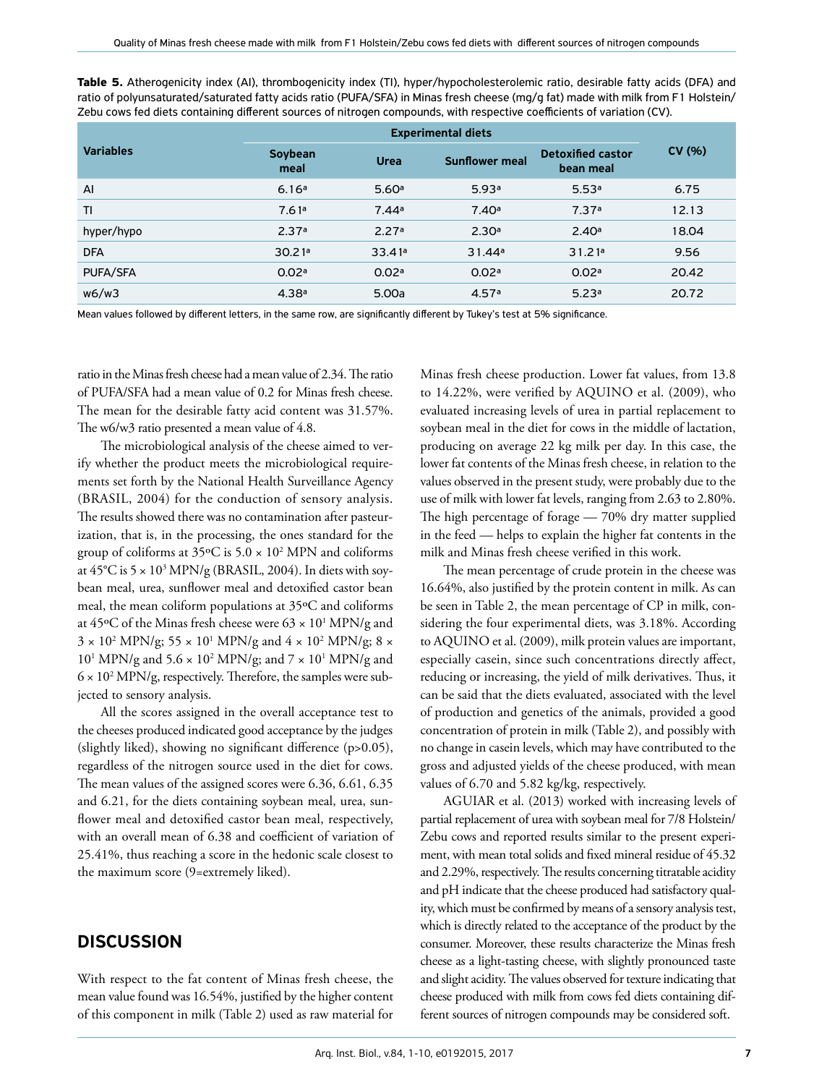**Table 5.** Atherogenicity index (AI), thrombogenicity index (TI), hyper/hypocholesterolemic ratio, desirable fatty acids (DFA) and

| <b>Experimental diets</b>                                                                                                                                |  |
|----------------------------------------------------------------------------------------------------------------------------------------------------------|--|
| Zebu cows fed diets containing different sources of nitrogen compounds, with respective coefficients of variation (CV).                                  |  |
| ratio of polyunsaturated/saturated fatty acids ratio (PUFA/SFA) in Minas fresh cheese (mg/g fat) made with milk from F1 Holstein/                        |  |
| <u>, ware explicited and the investigation of the investigation of the control integration of the common common common fact <math>\lambda</math> and</u> |  |

| <b>Variables</b> | Soybean<br>meal   | <b>Urea</b> | <b>Sunflower meal</b> | <b>Detoxified castor</b><br>bean meal | CV(% ) |
|------------------|-------------------|-------------|-----------------------|---------------------------------------|--------|
| $\overline{A}$   | 6.16a             | 5.60a       | 5.93a                 | 5.53a                                 | 6.75   |
| TI               | 7.61a             | 7.44a       | 7.40a                 | 7.37a                                 | 12.13  |
| hyper/hypo       | 2.37a             | 2.27a       | 2.30 <sup>a</sup>     | 2.40a                                 | 18.04  |
| <b>DFA</b>       | 30.21a            | 33.41a      | 31.44a                | 31.21a                                | 9.56   |
| PUFA/SFA         | 0.02a             | 0.02a       | 0.02a                 | 0.02a                                 | 20.42  |
| w6/w3            | 4.38 <sup>a</sup> | 5.00a       | 4.57a                 | 5.23a                                 | 20.72  |

Mean values followed by different letters, in the same row, are significantly different by Tukey's test at 5% significance.

ratio in the Minas fresh cheese had a mean value of 2.34. The ratio of PUFA/SFA had a mean value of 0.2 for Minas fresh cheese. The mean for the desirable fatty acid content was 31.57%. The w6/w3 ratio presented a mean value of 4.8.

The microbiological analysis of the cheese aimed to verify whether the product meets the microbiological requirements set forth by the National Health Surveillance Agency (BRASIL, 2004) for the conduction of sensory analysis. The results showed there was no contamination after pasteurization, that is, in the processing, the ones standard for the group of coliforms at 35°C is 5.0  $\times$  10<sup>2</sup> MPN and coliforms at 45°C is 5 × 10<sup>3</sup> MPN/g (BRASIL, 2004). In diets with soybean meal, urea, sunflower meal and detoxified castor bean meal, the mean coliform populations at 35ºC and coliforms at 45°C of the Minas fresh cheese were  $63 \times 10^1$  MPN/g and  $3 \times 10^2$  MPN/g;  $55 \times 10^1$  MPN/g and  $4 \times 10^2$  MPN/g;  $8 \times$  $10^1$  MPN/g and  $5.6 \times 10^2$  MPN/g; and  $7 \times 10^1$  MPN/g and  $6 \times 10^2$  MPN/g, respectively. Therefore, the samples were subjected to sensory analysis.

All the scores assigned in the overall acceptance test to the cheeses produced indicated good acceptance by the judges (slightly liked), showing no significant difference (p>0.05), regardless of the nitrogen source used in the diet for cows. The mean values of the assigned scores were 6.36, 6.61, 6.35 and 6.21, for the diets containing soybean meal, urea, sunflower meal and detoxified castor bean meal, respectively, with an overall mean of 6.38 and coefficient of variation of 25.41%, thus reaching a score in the hedonic scale closest to the maximum score (9=extremely liked).

### **DISCUSSION**

With respect to the fat content of Minas fresh cheese, the mean value found was 16.54%, justified by the higher content of this component in milk (Table 2) used as raw material for Minas fresh cheese production. Lower fat values, from 13.8 to 14.22%, were verified by AQUINO et al. (2009), who evaluated increasing levels of urea in partial replacement to soybean meal in the diet for cows in the middle of lactation, producing on average 22 kg milk per day. In this case, the lower fat contents of the Minas fresh cheese, in relation to the values observed in the present study, were probably due to the use of milk with lower fat levels, ranging from 2.63 to 2.80%. The high percentage of forage — 70% dry matter supplied in the feed — helps to explain the higher fat contents in the milk and Minas fresh cheese verified in this work.

The mean percentage of crude protein in the cheese was 16.64%, also justified by the protein content in milk. As can be seen in Table 2, the mean percentage of CP in milk, considering the four experimental diets, was 3.18%. According to AQUINO et al. (2009), milk protein values are important, especially casein, since such concentrations directly affect, reducing or increasing, the yield of milk derivatives. Thus, it can be said that the diets evaluated, associated with the level of production and genetics of the animals, provided a good concentration of protein in milk (Table 2), and possibly with no change in casein levels, which may have contributed to the gross and adjusted yields of the cheese produced, with mean values of 6.70 and 5.82 kg/kg, respectively.

AGUIAR et al. (2013) worked with increasing levels of partial replacement of urea with soybean meal for 7/8 Holstein/ Zebu cows and reported results similar to the present experiment, with mean total solids and fixed mineral residue of 45.32 and 2.29%, respectively. The results concerning titratable acidity and pH indicate that the cheese produced had satisfactory quality, which must be confirmed by means of a sensory analysis test, which is directly related to the acceptance of the product by the consumer. Moreover, these results characterize the Minas fresh cheese as a light-tasting cheese, with slightly pronounced taste and slight acidity. The values observed for texture indicating that cheese produced with milk from cows fed diets containing different sources of nitrogen compounds may be considered soft.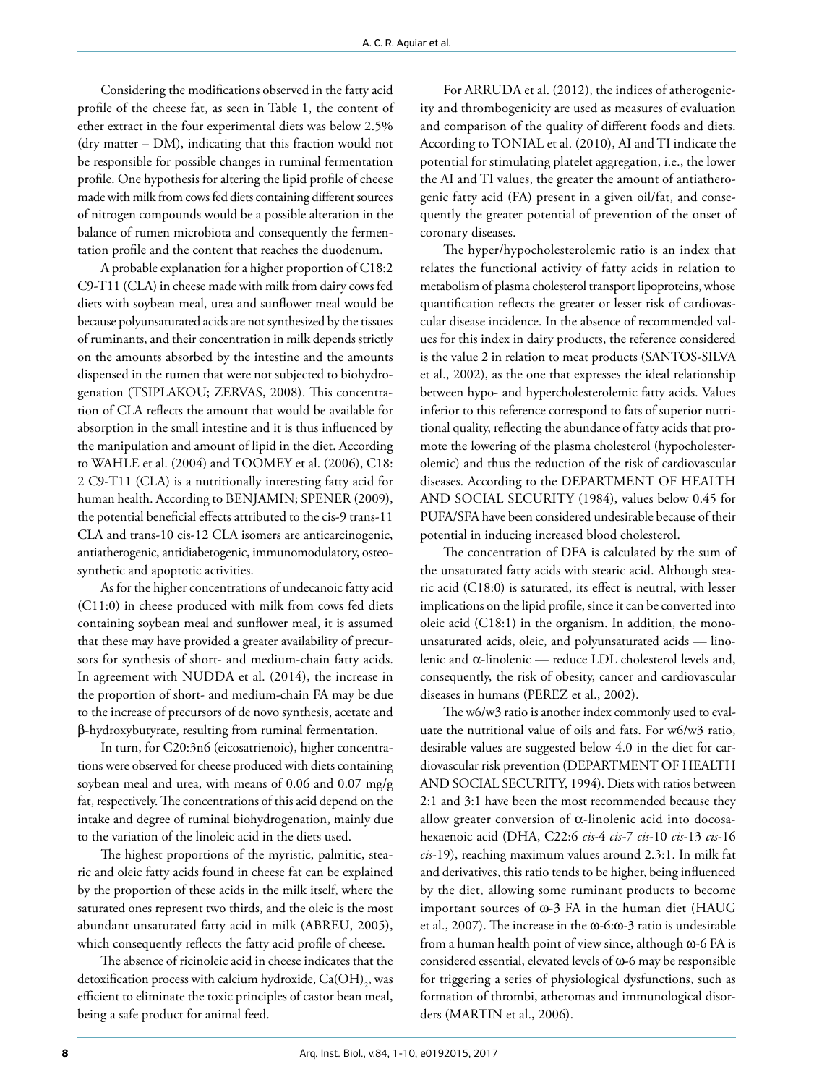Considering the modifications observed in the fatty acid profile of the cheese fat, as seen in Table 1, the content of ether extract in the four experimental diets was below 2.5% (dry matter – DM), indicating that this fraction would not be responsible for possible changes in ruminal fermentation profile. One hypothesis for altering the lipid profile of cheese made with milk from cows fed diets containing different sources of nitrogen compounds would be a possible alteration in the balance of rumen microbiota and consequently the fermentation profile and the content that reaches the duodenum.

A probable explanation for a higher proportion of C18:2 C9-T11 (CLA) in cheese made with milk from dairy cows fed diets with soybean meal, urea and sunflower meal would be because polyunsaturated acids are not synthesized by the tissues of ruminants, and their concentration in milk depends strictly on the amounts absorbed by the intestine and the amounts dispensed in the rumen that were not subjected to biohydrogenation (TSIPLAKOU; ZERVAS, 2008). This concentration of CLA reflects the amount that would be available for absorption in the small intestine and it is thus influenced by the manipulation and amount of lipid in the diet. According to WAHLE et al. (2004) and TOOMEY et al. (2006), C18: 2 C9-T11 (CLA) is a nutritionally interesting fatty acid for human health. According to BENJAMIN; SPENER (2009), the potential beneficial effects attributed to the cis-9 trans-11 CLA and trans-10 cis-12 CLA isomers are anticarcinogenic, antiatherogenic, antidiabetogenic, immunomodulatory, osteosynthetic and apoptotic activities.

As for the higher concentrations of undecanoic fatty acid (C11:0) in cheese produced with milk from cows fed diets containing soybean meal and sunflower meal, it is assumed that these may have provided a greater availability of precursors for synthesis of short- and medium-chain fatty acids. In agreement with NUDDA et al. (2014), the increase in the proportion of short- and medium-chain FA may be due to the increase of precursors of de novo synthesis, acetate and β-hydroxybutyrate, resulting from ruminal fermentation.

In turn, for C20:3n6 (eicosatrienoic), higher concentrations were observed for cheese produced with diets containing soybean meal and urea, with means of 0.06 and 0.07 mg/g fat, respectively. The concentrations of this acid depend on the intake and degree of ruminal biohydrogenation, mainly due to the variation of the linoleic acid in the diets used.

The highest proportions of the myristic, palmitic, stearic and oleic fatty acids found in cheese fat can be explained by the proportion of these acids in the milk itself, where the saturated ones represent two thirds, and the oleic is the most abundant unsaturated fatty acid in milk (ABREU, 2005), which consequently reflects the fatty acid profile of cheese.

The absence of ricinoleic acid in cheese indicates that the detoxification process with calcium hydroxide,  $\mathrm{Ca(OH)}_{2}$ , was efficient to eliminate the toxic principles of castor bean meal, being a safe product for animal feed.

For ARRUDA et al. (2012), the indices of atherogenicity and thrombogenicity are used as measures of evaluation and comparison of the quality of different foods and diets. According to TONIAL et al. (2010), AI and TI indicate the potential for stimulating platelet aggregation, i.e., the lower the AI and TI values, the greater the amount of antiatherogenic fatty acid (FA) present in a given oil/fat, and consequently the greater potential of prevention of the onset of coronary diseases.

The hyper/hypocholesterolemic ratio is an index that relates the functional activity of fatty acids in relation to metabolism of plasma cholesterol transport lipoproteins, whose quantification reflects the greater or lesser risk of cardiovascular disease incidence. In the absence of recommended values for this index in dairy products, the reference considered is the value 2 in relation to meat products (SANTOS-SILVA et al., 2002), as the one that expresses the ideal relationship between hypo- and hypercholesterolemic fatty acids. Values inferior to this reference correspond to fats of superior nutritional quality, reflecting the abundance of fatty acids that promote the lowering of the plasma cholesterol (hypocholesterolemic) and thus the reduction of the risk of cardiovascular diseases. According to the DEPARTMENT OF HEALTH AND SOCIAL SECURITY (1984), values below 0.45 for PUFA/SFA have been considered undesirable because of their potential in inducing increased blood cholesterol.

The concentration of DFA is calculated by the sum of the unsaturated fatty acids with stearic acid. Although stearic acid (C18:0) is saturated, its effect is neutral, with lesser implications on the lipid profile, since it can be converted into oleic acid (C18:1) in the organism. In addition, the monounsaturated acids, oleic, and polyunsaturated acids — linolenic and α-linolenic — reduce LDL cholesterol levels and, consequently, the risk of obesity, cancer and cardiovascular diseases in humans (PEREZ et al., 2002).

The w6/w3 ratio is another index commonly used to evaluate the nutritional value of oils and fats. For w6/w3 ratio, desirable values are suggested below 4.0 in the diet for cardiovascular risk prevention (DEPARTMENT OF HEALTH AND SOCIAL SECURITY, 1994). Diets with ratios between 2:1 and 3:1 have been the most recommended because they allow greater conversion of  $\alpha$ -linolenic acid into docosahexaenoic acid (DHA, C22:6 *cis*-4 *cis-*7 *cis*-10 *cis*-13 *cis*-16 *cis*-19), reaching maximum values around 2.3:1. In milk fat and derivatives, this ratio tends to be higher, being influenced by the diet, allowing some ruminant products to become important sources of ω-3 FA in the human diet (HAUG et al., 2007). The increase in the ω-6:ω-3 ratio is undesirable from a human health point of view since, although ω-6 FA is considered essential, elevated levels of ω-6 may be responsible for triggering a series of physiological dysfunctions, such as formation of thrombi, atheromas and immunological disorders (MARTIN et al., 2006).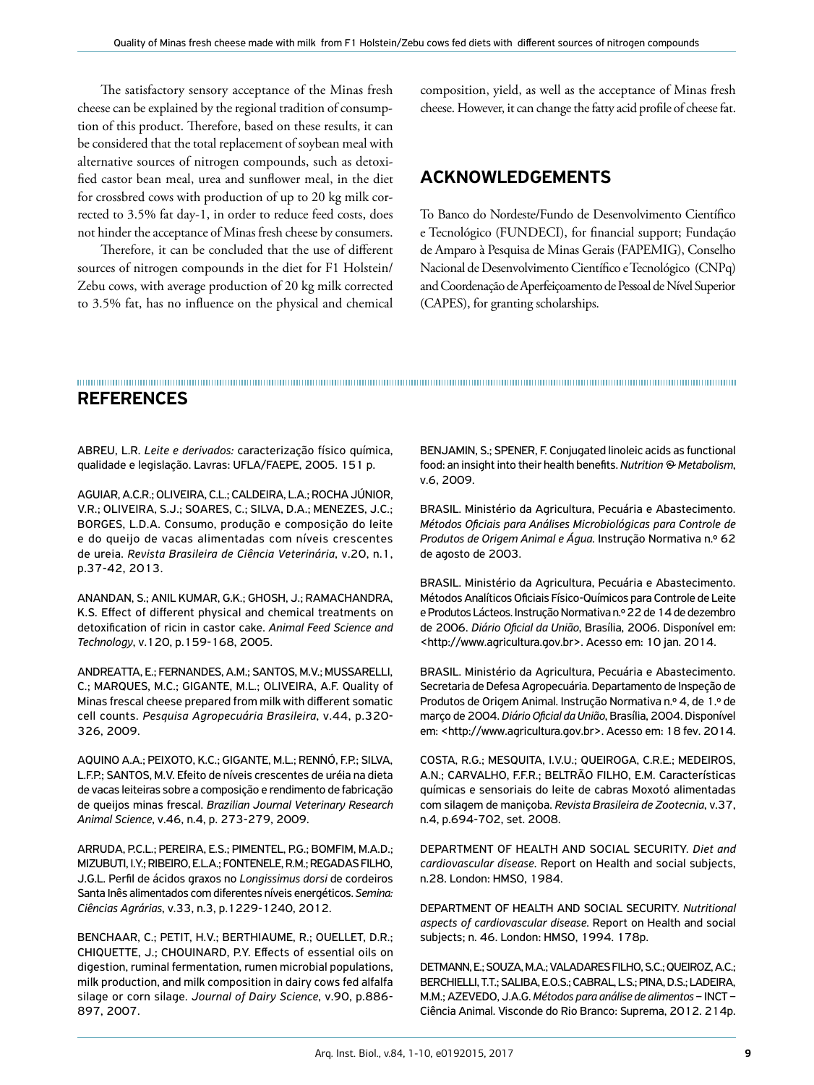The satisfactory sensory acceptance of the Minas fresh cheese can be explained by the regional tradition of consumption of this product. Therefore, based on these results, it can be considered that the total replacement of soybean meal with alternative sources of nitrogen compounds, such as detoxified castor bean meal, urea and sunflower meal, in the diet for crossbred cows with production of up to 20 kg milk corrected to 3.5% fat day-1, in order to reduce feed costs, does not hinder the acceptance of Minas fresh cheese by consumers.

Therefore, it can be concluded that the use of different sources of nitrogen compounds in the diet for F1 Holstein/ Zebu cows, with average production of 20 kg milk corrected to 3.5% fat, has no influence on the physical and chemical

composition, yield, as well as the acceptance of Minas fresh cheese. However, it can change the fatty acid profile of cheese fat.

#### ACKNOWLEDGEMENTS

To Banco do Nordeste/Fundo de Desenvolvimento Científico e Tecnológico (FUNDECI), for financial support; Fundação de Amparo à Pesquisa de Minas Gerais (FAPEMIG), Conselho Nacional de Desenvolvimento Científico e Tecnológico (CNPq) and Coordenação de Aperfeiçoamento de Pessoal de Nível Superior (CAPES), for granting scholarships.

#### REFERENCES

ABREU, L.R. *Leite e derivados:* caracterização físico química, qualidade e legislação. Lavras: UFLA/FAEPE, 2005. 151 p.

AGUIAR, A.C.R.; OLIVEIRA, C.L.; CALDEIRA, L.A.; ROCHA JÚNIOR, V.R.; OLIVEIRA, S.J.; SOARES, C.; SILVA, D.A.; MENEZES, J.C.; BORGES, L.D.A. Consumo, produção e composição do leite e do queijo de vacas alimentadas com níveis crescentes de ureia. *Revista Brasileira de Ciência Veterinária*, v.20, n.1, p.37-42, 2013.

ANANDAN, S.; ANIL KUMAR, G.K.; GHOSH, J.; RAMACHANDRA, K.S. Effect of different physical and chemical treatments on detoxification of ricin in castor cake. *Animal Feed Science and Technology*, v.120, p.159-168, 2005.

ANDREATTA, E.; FERNANDES, A.M.; SANTOS, M.V.; MUSSARELLI, C.; MARQUES, M.C.; GIGANTE, M.L.; OLIVEIRA, A.F. Quality of Minas frescal cheese prepared from milk with different somatic cell counts. *Pesquisa Agropecuária Brasileira*, v.44, p.320- 326, 2009.

AQUINO A.A.; PEIXOTO, K.C.; GIGANTE, M.L.; RENNÓ, F.P.; SILVA, L.F.P.; SANTOS, M.V. Efeito de níveis crescentes de uréia na dieta de vacas leiteiras sobre a composição e rendimento de fabricação de queijos minas frescal. *Brazilian Journal Veterinary Research Animal Science*, v.46, n.4, p. 273-279, 2009.

ARRUDA, P.C.L.; PEREIRA, E.S.; PIMENTEL, P.G.; BOMFIM, M.A.D.; MIZUBUTI, I.Y.; RIBEIRO, E.L.A.; FONTENELE, R.M.; REGADAS FILHO, J.G.L. Perfil de ácidos graxos no *Longissimus dorsi* de cordeiros Santa Inês alimentados com diferentes níveis energéticos. *Semina: Ciências Agrárias*, v.33, n.3, p.1229-1240, 2012.

BENCHAAR, C.; PETIT, H.V.; BERTHIAUME, R.; OUELLET, D.R.; CHIQUETTE, J.; CHOUINARD, P.Y. Effects of essential oils on digestion, ruminal fermentation, rumen microbial populations, milk production, and milk composition in dairy cows fed alfalfa silage or corn silage. *Journal of Dairy Science*, v.90, p.886- 897, 2007.

BENJAMIN, S.; SPENER, F. Conjugated linoleic acids as functional food: an insight into their health benefits. *Nutrition & Metabolism*, v.6, 2009.

BRASIL. Ministério da Agricultura, Pecuária e Abastecimento. *Métodos Oficiais para Análises Microbiológicas para Controle de Produtos de Origem Animal e Água*. Instrução Normativa n.º 62 de agosto de 2003.

BRASIL. Ministério da Agricultura, Pecuária e Abastecimento. Métodos Analíticos Oficiais Físico-Químicos para Controle de Leite e Produtos Lácteos. Instrução Normativa n.º 22 de 14 de dezembro de 2006. *Diário Oficial da União*, Brasília, 2006. Disponível em: <http://www.agricultura.gov.br>. Acesso em: 10 jan. 2014.

BRASIL. Ministério da Agricultura, Pecuária e Abastecimento. Secretaria de Defesa Agropecuária. Departamento de Inspeção de Produtos de Origem Animal. Instrução Normativa n.º 4, de 1.º de março de 2004. *Diário Oficial da União*, Brasília, 2004. Disponível em: <http://www.agricultura.gov.br>. Acesso em: 18 fev. 2014.

COSTA, R.G.; MESQUITA, I.V.U.; QUEIROGA, C.R.E.; MEDEIROS, A.N.; CARVALHO, F.F.R.; BELTRÃO FILHO, E.M. Características químicas e sensoriais do leite de cabras Moxotó alimentadas com silagem de maniçoba. *Revista Brasileira de Zootecnia*, v.37, n.4, p.694-702, set. 2008.

DEPARTMENT OF HEALTH AND SOCIAL SECURITY. *Diet and cardiovascular disease*. Report on Health and social subjects, n.28. London: HMSO, 1984.

DEPARTMENT OF HEALTH AND SOCIAL SECURITY. *Nutritional aspects of cardiovascular disease*. Report on Health and social subjects; n. 46. London: HMSO, 1994. 178p.

DETMANN, E.; SOUZA, M.A.; VALADARES FILHO, S.C.; QUEIROZ, A.C.; BERCHIELLI, T.T.; SALIBA, E.O.S.; CABRAL, L.S.; PINA, D.S.; LADEIRA, M.M.; AZEVEDO, J.A.G. *Métodos para análise de alimentos* – INCT – Ciência Animal. Visconde do Rio Branco: Suprema, 2012. 214p.